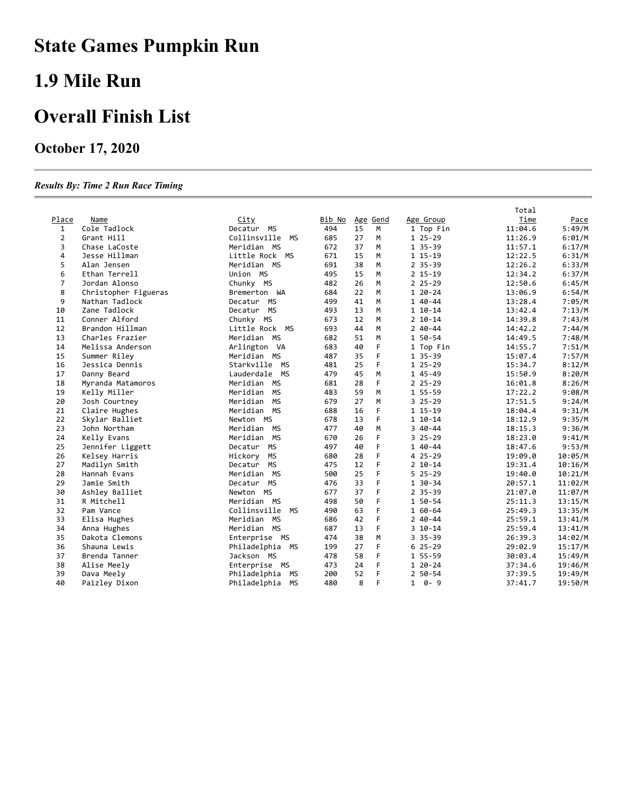# **State Games Pumpkin Run**

# **1.9 Mile Run**

## **Overall Finish List**

### **October 17, 2020**

#### *Results By: Time 2 Run Race Timing*

|                |                      |                       |        |    |          |                | Total   |         |
|----------------|----------------------|-----------------------|--------|----|----------|----------------|---------|---------|
| Place          | Name                 | City                  | Bib No |    | Age Gend | Age Group      | Time    | Pace    |
| $\mathbf{1}$   | Cole Tadlock         | Decatur MS            | 494    | 15 | М        | 1 Top Fin      | 11:04.6 | 5:49/M  |
| $\overline{2}$ | Grant Hill           | Collinsville<br>MS    | 685    | 27 | M        | $125 - 29$     | 11:26.9 | 6:01/M  |
| 3              | Chase LaCoste        | Meridian MS           | 672    | 37 | M        | 1 35-39        | 11:57.1 | 6:17/M  |
| 4              | Jesse Hillman        | Little Rock MS        | 671    | 15 | M        | $115 - 19$     | 12:22.5 | 6:31/M  |
| 5              | Alan Jensen          | Meridian MS           | 691    | 38 | M        | $2$ 35-39      | 12:26.2 | 6:33/M  |
| 6              | Ethan Terrell        | Union MS              | 495    | 15 | M        | $2$ 15-19      | 12:34.2 | 6:37/M  |
| $\overline{7}$ | Jordan Alonso        | Chunky MS             | 482    | 26 | M        | $225 - 29$     | 12:50.6 | 6:45/M  |
| 8              | Christopher Figueras | Bremerton WA          | 684    | 22 | M        | $120-24$       | 13:06.9 | 6:54/M  |
| 9              | Nathan Tadlock       | <b>MS</b><br>Decatur  | 499    | 41 | M        | 1 40-44        | 13:28.4 | 7:05/M  |
| 10             | Zane Tadlock         | <b>MS</b><br>Decatur  | 493    | 13 | M        | $110-14$       | 13:42.4 | 7:13/M  |
| 11             | Conner Alford        | Chunky MS             | 673    | 12 | M        | $210-14$       | 14:39.8 | 7:43/M  |
| 12             | Brandon Hillman      | Little Rock MS        | 693    | 44 | M        | $240 - 44$     | 14:42.2 | 7:44/M  |
| 13             | Charles Frazier      | Meridian MS           | 682    | 51 | M        | 1 50-54        | 14:49.5 | 7:48/M  |
| 14             | Melissa Anderson     | Arlington VA          | 683    | 40 | F        | 1 Top Fin      | 14:55.7 | 7:51/M  |
| 15             | Summer Riley         | Meridian MS           | 487    | 35 | F        | 1 35-39        | 15:07.4 | 7:57/M  |
| 16             | Jessica Dennis       | Starkville MS         | 481    | 25 | F        | $125 - 29$     | 15:34.7 | 8:12/M  |
| 17             | Danny Beard          | Lauderdale MS         | 479    | 45 | M        | 1 45-49        | 15:50.9 | 8:20/M  |
| 18             | Myranda Matamoros    | Meridian MS           | 681    | 28 | F        | $225 - 29$     | 16:01.8 | 8:26/M  |
| 19             | Kelly Miller         | Meridian<br><b>MS</b> | 483    | 59 | M        | 1 55-59        | 17:22.2 | 9:08/M  |
| 20             | Josh Courtney        | <b>MS</b><br>Meridian | 679    | 27 | M        | $325 - 29$     | 17:51.5 | 9:24/M  |
| 21             | Claire Hughes        | Meridian<br>MS        | 688    | 16 | F        | $115 - 19$     | 18:04.4 | 9:31/M  |
| 22             | Skylar Balliet       | Newton MS             | 678    | 13 | F        | $110-14$       | 18:12.9 | 9:35/M  |
| 23             | John Northam         | Meridian MS           | 477    | 40 | M        | $340-44$       | 18:15.3 | 9:36/M  |
| 24             | Kelly Evans          | Meridian MS           | 670    | 26 | F        | $325 - 29$     | 18:23.0 | 9:41/M  |
| 25             | Jennifer Liggett     | <b>MS</b><br>Decatur  | 497    | 40 | F        | 1 40-44        | 18:47.6 | 9:53/M  |
| 26             | Kelsey Harris        | <b>MS</b><br>Hickory  | 680    | 28 | F        | $425 - 29$     | 19:09.0 | 10:05/M |
| 27             | Madilyn Smith        | Decatur<br>MS         | 475    | 12 | F        | $2 10 - 14$    | 19:31.4 | 10:16/M |
| 28             | Hannah Evans         | Meridian MS           | 500    | 25 | F        | $525 - 29$     | 19:40.0 | 10:21/M |
| 29             | Jamie Smith          | Decatur<br>MS         | 476    | 33 | F        | 1 30-34        | 20:57.1 | 11:02/M |
| 30             | Ashley Balliet       | Newton MS             | 677    | 37 | F        | $2$ 35-39      | 21:07.0 | 11:07/M |
| 31             | R Mitchell           | Meridian MS           | 498    | 50 | F        | 1 50-54        | 25:11.3 | 13:15/M |
| 32             | Pam Vance            | Collinsville<br>MS    | 490    | 63 | F        | 1 60-64        | 25:49.3 | 13:35/M |
| 33             | Elisa Hughes         | Meridian MS           | 686    | 42 | F        | $240 - 44$     | 25:59.1 | 13:41/M |
| 34             | Anna Hughes          | Meridian MS           | 687    | 13 | F        | $310-14$       | 25:59.4 | 13:41/M |
| 35             | Dakota Clemons       | Enterprise MS         | 474    | 38 | M        | $335 - 39$     | 26:39.3 | 14:02/M |
| 36             | Shauna Lewis         | Philadelphia MS       | 199    | 27 | F        | $625 - 29$     | 29:02.9 | 15:17/M |
| 37             | Brenda Tanner        | Jackson MS            | 478    | 58 | F        | 1 55-59        | 30:03.4 | 15:49/M |
| 38             | Alise Meely          | Enterprise MS         | 473    | 24 | F        | $120-24$       | 37:34.6 | 19:46/M |
| 39             | Dava Meely           | Philadelphia MS       | 200    | 52 | F        | $250 - 54$     | 37:39.5 | 19:49/M |
| 40             | Paizley Dixon        | Philadelphia MS       | 480    | 8  | F        | $1 \theta - 9$ | 37:41.7 | 19:50/M |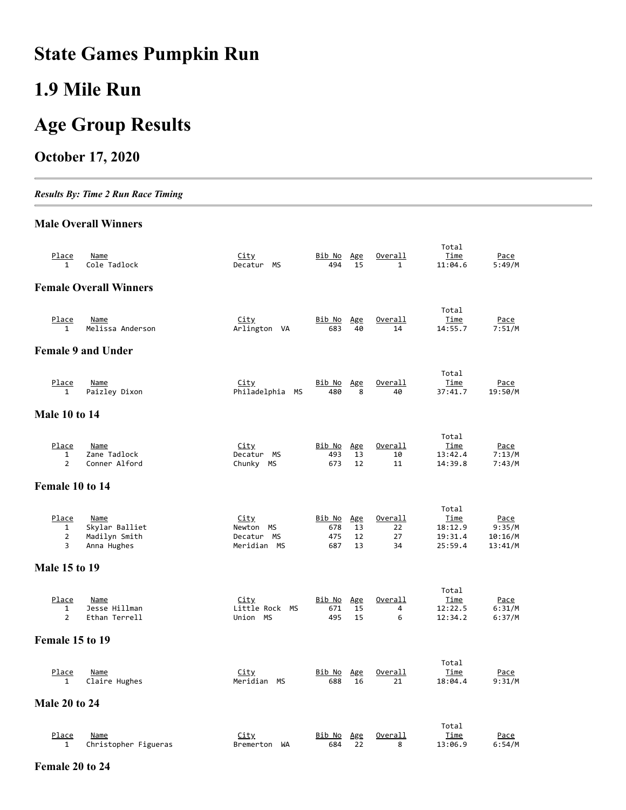# **State Games Pumpkin Run**

# **1.9 Mile Run**

# **Age Group Results**

### **October 17, 2020**

*Results By: Time 2 Run Race Timing*

#### **Male Overall Winners**

| Place<br>$\mathbf{1}$          | Name<br>Cole Tadlock                | <u>City</u><br>Decatur MS      | Bib No<br>494        | Age<br>15 | Overall<br>$\mathbf{1}$ | Total<br>Time<br>11:04.6 | Pace<br>5:49/M         |
|--------------------------------|-------------------------------------|--------------------------------|----------------------|-----------|-------------------------|--------------------------|------------------------|
|                                | <b>Female Overall Winners</b>       |                                |                      |           |                         |                          |                        |
|                                |                                     |                                |                      |           |                         |                          |                        |
| Place<br>1                     | Name<br>Melissa Anderson            | <u>City</u><br>Arlington VA    | Bib No<br>683        | Age<br>40 | Overall<br>14           | Total<br>Time<br>14:55.7 | <u>Pace</u><br>7:51/M  |
|                                | <b>Female 9 and Under</b>           |                                |                      |           |                         |                          |                        |
|                                |                                     |                                |                      |           |                         | Total                    |                        |
| Place<br>$\mathbf{1}$          | <b>Name</b><br>Paizley Dixon        | <u>City</u><br>Philadelphia MS | <u>Bib No</u><br>480 | Age<br>8  | Overall<br>40           | <u>Time</u><br>37:41.7   | <u>Pace</u><br>19:50/M |
| <b>Male 10 to 14</b>           |                                     |                                |                      |           |                         |                          |                        |
|                                |                                     |                                |                      |           |                         | Total                    |                        |
| Place                          | <b>Name</b>                         | City                           | <u>Bib No</u>        | Age       | Overall                 | <u>Time</u>              | <u>Pace</u>            |
| $\mathbf{1}$<br>$\overline{2}$ | Zane Tadlock<br>Conner Alford       | Decatur MS<br>Chunky MS        | 493<br>673           | 13<br>12  | 10<br>11                | 13:42.4<br>14:39.8       | 7:13/M<br>7:43/M       |
| Female 10 to 14                |                                     |                                |                      |           |                         |                          |                        |
|                                |                                     |                                |                      |           |                         |                          |                        |
| Place                          | Name                                | <u>City</u>                    | Bib No               | Age       | Overall                 | Total<br><u>Time</u>     | <u>Pace</u>            |
| $\mathbf{1}$<br>$\overline{2}$ | Skylar Balliet<br>Madilyn Smith     | Newton MS<br>Decatur MS        | 678<br>475           | 13<br>12  | 22<br>27                | 18:12.9<br>19:31.4       | 9:35/M<br>10:16/M      |
| 3                              | Anna Hughes                         | Meridian MS                    | 687                  | 13        | 34                      | 25:59.4                  | 13:41/M                |
| <b>Male 15 to 19</b>           |                                     |                                |                      |           |                         |                          |                        |
|                                |                                     |                                |                      |           |                         | Total                    |                        |
| Place<br>$\mathbf{1}$          | Name<br>Jesse Hillman               | <u>City</u><br>Little Rock MS  | <u>Bib No</u><br>671 | Age       | Overall<br>4            | <u>Time</u><br>12:22.5   | <u>Pace</u><br>6:31/M  |
| $\overline{2}$                 | Ethan Terrell                       | Union MS                       | 495                  | 15<br>15  | 6                       | 12:34.2                  | 6:37/M                 |
| Female 15 to 19                |                                     |                                |                      |           |                         |                          |                        |
|                                |                                     |                                |                      |           |                         | Total                    |                        |
| Place<br>1                     | <b>Name</b><br>Claire Hughes        | <u>City</u><br>Meridian MS     | <u>Bib No</u><br>688 | Age<br>16 | Overall<br>21           | <u>Time</u><br>18:04.4   | <u>Pace</u><br>9:31/M  |
| <b>Male 20 to 24</b>           |                                     |                                |                      |           |                         |                          |                        |
|                                |                                     |                                |                      |           |                         |                          |                        |
|                                |                                     |                                |                      |           |                         | Total                    |                        |
| Place<br>1                     | <b>Name</b><br>Christopher Figueras | <u>City</u><br>Bremerton<br>WА | <u>Bib No</u><br>684 | Age<br>22 | Overall<br>8            | <u>Time</u><br>13:06.9   | <u>Pace</u><br>6:54/M  |

#### **Female 20 to 24**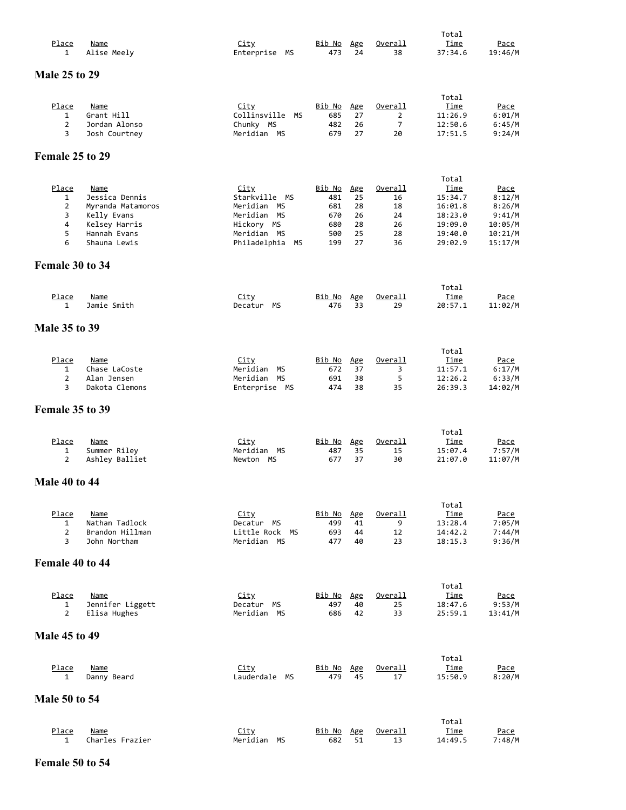| <u>Place</u><br>$\mathbf{1}$                   | <b>Name</b><br>Alise Meely                 | <u>City</u><br>Enterprise MS                | <u>Bib No</u><br>473 | Age<br>24       | <u>Overall</u><br>38                        | Total<br><u>Time</u><br>37:34.6            | Pace<br>19:46/M          |
|------------------------------------------------|--------------------------------------------|---------------------------------------------|----------------------|-----------------|---------------------------------------------|--------------------------------------------|--------------------------|
| <b>Male 25 to 29</b>                           |                                            |                                             |                      |                 |                                             |                                            |                          |
|                                                |                                            |                                             |                      |                 |                                             |                                            |                          |
| <u>Place</u><br>$\mathbf{1}$<br>$\overline{2}$ | <u>Name</u><br>Grant Hill<br>Jordan Alonso | <u>City</u><br>Collinsville MS<br>Chunky MS | Bib No<br>685<br>482 | Age<br>27<br>26 | Overall<br>$\overline{2}$<br>$\overline{7}$ | Total<br><u>Time</u><br>11:26.9<br>12:50.6 | Pace<br>6:01/M<br>6:45/M |
| 3                                              | Josh Courtney                              | Meridian MS                                 | 679                  | 27              | 20                                          | 17:51.5                                    | 9:24/M                   |
| Female 25 to 29                                |                                            |                                             |                      |                 |                                             |                                            |                          |
| Place                                          | Name                                       | <u>City</u>                                 | <u>Bib No</u>        | Age             | Overall                                     | Total<br><u>Time</u>                       | <u>Pace</u>              |
| $\mathbf{1}$                                   | Jessica Dennis                             | Starkville MS                               | 481                  | 25              | 16                                          | 15:34.7                                    | 8:12/M                   |
| $\overline{2}$                                 | Myranda Matamoros                          | Meridian MS                                 | 681                  | 28              | 18                                          | 16:01.8                                    | 8:26/M                   |
| 3                                              | Kelly Evans                                | Meridian MS                                 | 670                  | 26              | 24                                          | 18:23.0                                    | 9:41/M                   |
| 4<br>5                                         | Kelsey Harris<br>Hannah Evans              | Hickory MS<br>Meridian MS                   | 680<br>500           | 28<br>25        | 26<br>28                                    | 19:09.0<br>19:40.0                         | 10:05/M<br>10:21/M       |
| 6                                              | Shauna Lewis                               | Philadelphia<br>МS                          | 199                  | 27              | 36                                          | 29:02.9                                    | 15:17/M                  |
| Female 30 to 34                                |                                            |                                             |                      |                 |                                             |                                            |                          |
|                                                |                                            |                                             |                      |                 |                                             | Total                                      |                          |
| <u>Place</u><br>$\mathbf{1}$                   | Name<br>Jamie Smith                        | <u>City</u><br>Decatur<br>МS                | <u>Bib No</u><br>476 | Age<br>33       | <u>Overall</u><br>29                        | <u>Time</u><br>20:57.1                     | Pace<br>11:02/M          |
| <b>Male 35 to 39</b>                           |                                            |                                             |                      |                 |                                             |                                            |                          |
|                                                |                                            |                                             |                      |                 |                                             | Total                                      |                          |
| Place                                          | <b>Name</b>                                | <u>City</u>                                 | <u>Bib No</u>        | Age             | <u>Overall</u>                              | Time                                       | <u>Pace</u>              |
| $\mathbf{1}$<br>$\overline{2}$                 | Chase LaCoste<br>Alan Jensen               | Meridian<br>МS<br>Meridian MS               | 672<br>691           | 37<br>38        | 3<br>5                                      | 11:57.1<br>12:26.2                         | 6:17/M<br>6:33/M         |
| 3                                              | Dakota Clemons                             | Enterprise MS                               | 474                  | 38              | 35                                          | 26:39.3                                    | 14:02/M                  |
| Female 35 to 39                                |                                            |                                             |                      |                 |                                             |                                            |                          |
| Place                                          | <b>Name</b>                                | <u>City</u>                                 | <u>Bib No</u>        | Age             | Overall                                     | Total<br><u>Time</u>                       | <u>Pace</u>              |
| 1<br>$\overline{2}$                            | Summer Riley<br>Ashley Balliet             | Meridian MS<br>Newton MS                    | 487<br>677           | 35<br>37        | 15<br>30                                    | 15:07.4<br>21:07.0                         | 7:57/M<br>11:07/M        |
| <b>Male 40 to 44</b>                           |                                            |                                             |                      |                 |                                             |                                            |                          |
|                                                |                                            |                                             |                      |                 |                                             | Total                                      |                          |
| Place<br>1                                     | Name<br>Nathan Tadlock                     | <u>City</u><br>Decatur MS                   | <u>Bib No</u><br>499 | Age<br>41       | Overall<br>9                                | <u>Time</u><br>13:28.4                     | <u>Pace</u><br>7:05/M    |
| $\overline{2}$                                 | Brandon Hillman                            | Little Rock MS                              | 693                  | 44              | 12                                          | 14:42.2                                    | 7:44/M                   |
| 3                                              | John Northam                               | Meridian MS                                 | 477                  | 40              | 23                                          | 18:15.3                                    | 9:36/M                   |
| Female 40 to 44                                |                                            |                                             |                      |                 |                                             |                                            |                          |
| Place                                          | <b>Name</b>                                | <u>City</u>                                 | <u>Bib No</u>        | Age             | <u>Overall</u>                              | Total<br>Time                              | <u>Pace</u>              |
| 1                                              | Jennifer Liggett                           | Decatur MS                                  | 497                  | 40              | 25                                          | 18:47.6                                    | 9:53/M                   |
| $\overline{2}$                                 | Elisa Hughes                               | Meridian MS                                 | 686                  | 42              | 33                                          | 25:59.1                                    | 13:41/M                  |
| <b>Male 45 to 49</b>                           |                                            |                                             |                      |                 |                                             |                                            |                          |
| Place                                          | <b>Name</b>                                | <u>City</u>                                 | Bib No               | Age             | Overall                                     | Total<br><u>Time</u>                       | Pace                     |
| $\mathbf{1}$                                   | Danny Beard                                | Lauderdale MS                               | 479                  | 45              | 17                                          | 15:50.9                                    | 8:20/M                   |
| <b>Male 50 to 54</b>                           |                                            |                                             |                      |                 |                                             |                                            |                          |
| <u>Place</u>                                   | <b>Name</b>                                | City                                        | <u>Bib No</u>        | Age             | Overall                                     | Total<br>Time                              | <u>Pace</u>              |
| $\mathbf{1}$                                   | Charles Frazier                            | Meridian<br>MS                              | 682                  | 51              | 13                                          | 14:49.5                                    | 7:48/M                   |

### **Female 50 to 54**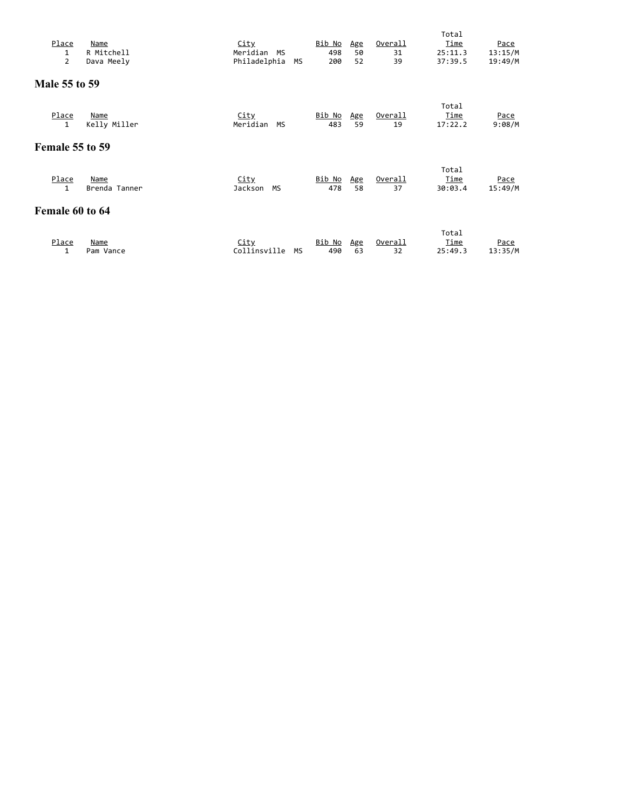|                 |               |                      |               |     |         | Total       |             |
|-----------------|---------------|----------------------|---------------|-----|---------|-------------|-------------|
| Place           | <u>Name</u>   | <u>City</u>          | <u>Bib No</u> | Age | Overall | Time        | <u>Pace</u> |
| 1               | R Mitchell    | Meridian<br>MS       | 498           | 50  | 31      | 25:11.3     | 13:15/M     |
| $\overline{2}$  | Dava Meely    | Philadelphia<br>MS   | 200           | 52  | 39      | 37:39.5     | 19:49/M     |
| Male 55 to 59   |               |                      |               |     |         |             |             |
|                 |               |                      |               |     |         | Total       |             |
| Place           | <u>Name</u>   | <u>City</u>          | <u>Bib No</u> | Age | Overall | <u>Time</u> | Pace        |
| 1               | Kelly Miller  | Meridian<br>MS       | 483           | 59  | 19      | 17:22.2     | 9:08/M      |
| Female 55 to 59 |               |                      |               |     |         |             |             |
|                 |               |                      |               |     |         | Total       |             |
| Place           | <b>Name</b>   | <u>City</u>          | Bib No        | Age | Overall | <b>Time</b> | <u>Pace</u> |
| 1               | Brenda Tanner | Jackson<br><b>MS</b> | 478           | 58  | 37      | 30:03.4     | 15:49/M     |
| Female 60 to 64 |               |                      |               |     |         |             |             |
|                 |               |                      |               |     |         | Total       |             |
| Place           | Name          | <u>City</u>          | <u>Bib No</u> | Age | Overall | <u>Time</u> | Pace        |
| 1               | Pam Vance     | Collinsville<br>МS   | 490           | 63  | 32      | 25:49.3     | 13:35/M     |